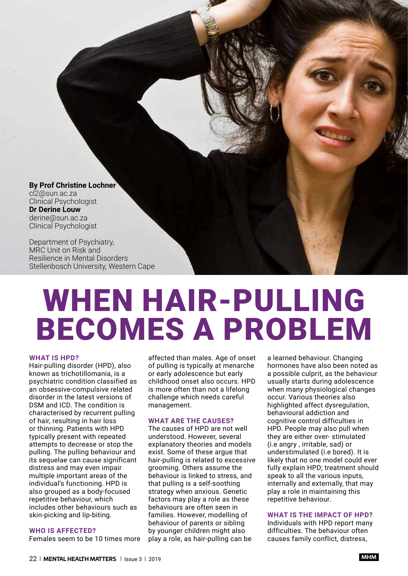**By Prof Christine Lochner** cl2@sun.ac.za Clinical Psychologist **Dr Derine Louw** derine@sun.ac.za Clinical Psychologist

Department of Psychiatry, MRC Unit on Risk and Resilience in Mental Disorders Stellenbosch University, Western Cape

# WHEN HAIR-PULLING BECOMES A PROBLEM

#### **WHAT IS HPD?**

Hair-pulling disorder (HPD), also known as trichotillomania, is a psychiatric condition classified as an obsessive-compulsive related disorder in the latest versions of DSM and ICD. The condition is characterised by recurrent pulling of hair, resulting in hair loss or thinning. Patients with HPD typically present with repeated attempts to decrease or stop the pulling. The pulling behaviour and its sequelae can cause significant distress and may even impair multiple important areas of the individual's functioning. HPD is also grouped as a body-focused repetitive behaviour, which includes other behaviours such as skin-picking and lip-biting.

## **WHO IS AFFECTED?**

Females seem to be 10 times more

affected than males. Age of onset of pulling is typically at menarche or early adolescence but early childhood onset also occurs. HPD is more often than not a lifelong challenge which needs careful management.

## **WHAT ARE THE CAUSES?**

The causes of HPD are not well understood. However, several explanatory theories and models exist. Some of these argue that hair-pulling is related to excessive grooming. Others assume the behaviour is linked to stress, and that pulling is a self-soothing strategy when anxious. Genetic factors may play a role as these behaviours are often seen in families. However, modelling of behaviour of parents or sibling by younger children might also play a role, as hair-pulling can be

a learned behaviour. Changing hormones have also been noted as a possible culprit, as the behaviour usually starts during adolescence when many physiological changes occur. Various theories also highlighted affect dysregulation. behavioural addiction and cognitive control difficulties in HPD. People may also pull when they are either over- stimulated (i.e angry , irritable, sad) or understimulated (i.e bored). It is likely that no one model could ever fully explain HPD; treatment should speak to all the various inputs, internally and externally, that may play a role in maintaining this repetitive behaviour.

# **WHAT IS THE IMPACT OF HPD?**

Individuals with HPD report many difficulties. The behaviour often causes family conflict, distress,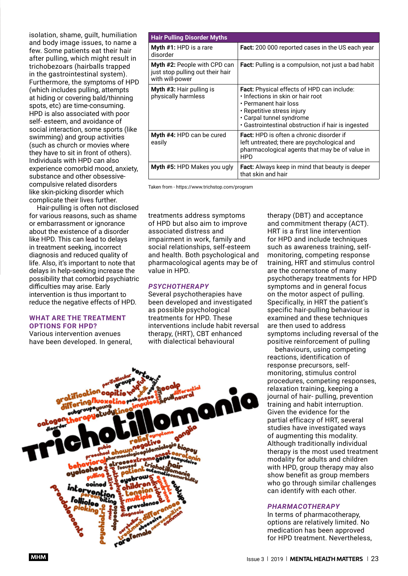isolation, shame, guilt, humiliation and body image issues, to name a few. Some patients eat their hair after pulling, which might result in trichobezoars (hairballs trapped in the gastrointestinal system). Furthermore, the symptoms of HPD (which includes pulling, attempts at hiding or covering bald/thinning spots, etc) are time-consuming. HPD is also associated with poor self- esteem, and avoidance of social interaction, some sports (like swimming) and group activities (such as church or movies where they have to sit in front of others). Individuals with HPD can also experience comorbid mood, anxiety, substance and other obsessivecompulsive related disorders like skin-picking disorder which complicate their lives further.

Hair-pulling is often not disclosed for various reasons, such as shame or embarrassment or ignorance about the existence of a disorder like HPD. This can lead to delays in treatment seeking, incorrect diagnosis and reduced quality of life. Also, it's important to note that delays in help-seeking increase the possibility that comorbid psychiatric difficulties may arise. Early intervention is thus important to reduce the negative effects of HPD.

## **WHAT ARE THE TREATMENT OPTIONS FOR HPD?**

Various intervention avenues have been developed. In general,

| <b>Hair Pulling Disorder Myths</b>                                                         |                                                                                                                                                                                                                                 |
|--------------------------------------------------------------------------------------------|---------------------------------------------------------------------------------------------------------------------------------------------------------------------------------------------------------------------------------|
| Myth #1: HPD is a rare<br>disorder                                                         | <b>Fact:</b> 200 000 reported cases in the US each year                                                                                                                                                                         |
| <b>Myth #2: People with CPD can</b><br>just stop pulling out their hair<br>with will-power | <b>Fact:</b> Pulling is a compulsion, not just a bad habit                                                                                                                                                                      |
| <b>Myth #3: Hair pulling is</b><br>physically harmless                                     | <b>Fact:</b> Physical effects of HPD can include:<br>· Infections in skin or hair root<br>• Permanent hair loss<br>• Repetitive stress injury<br>• Carpal tunnel syndrome<br>• Gastrointestinal obstruction if hair is ingested |
| Myth #4: HPD can be cured<br>easily                                                        | <b>Fact:</b> HPD is often a chronic disorder if<br>left untreated; there are psychological and<br>pharmacological agents that may be of value in<br><b>HPD</b>                                                                  |
| Myth #5: HPD Makes you ugly                                                                | <b>Fact:</b> Always keep in mind that beauty is deeper<br>that skin and hair                                                                                                                                                    |

Taken from - https://www.trichstop.com/program

treatments address symptoms of HPD but also aim to improve associated distress and impairment in work, family and social relationships, self-esteem and health. Both psychological and pharmacological agents may be of value in HPD.

#### *PSYCHOTHERAPY*

Several psychotherapies have been developed and investigated as possible psychological treatments for HPD. These interventions include habit reversal therapy, (HRT), CBT enhanced with dialectical behavioural



therapy (DBT) and acceptance and commitment therapy (ACT). HRT is a first line intervention for HPD and include techniques such as awareness training, selfmonitoring, competing response training, HRT and stimulus control are the cornerstone of many psychotherapy treatments for HPD symptoms and in general focus on the motor aspect of pulling. Specifically, in HRT the patient's specific hair-pulling behaviour is examined and these techniques are then used to address symptoms including reversal of the positive reinforcement of pulling

behaviours, using competing reactions, identification of response precursors, selfmonitoring, stimulus control procedures, competing responses, relaxation training, keeping a journal of hair- pulling, prevention training and habit interruption. Given the evidence for the partial efficacy of HRT, several studies have investigated ways of augmenting this modality. Although traditionally individual therapy is the most used treatment modality for adults and children with HPD, group therapy may also show benefit as group members who go through similar challenges can identify with each other.

#### *PHARMACOTHERAPY*

In terms of pharmacotherapy, options are relatively limited. No medication has been approved for HPD treatment. Nevertheless,